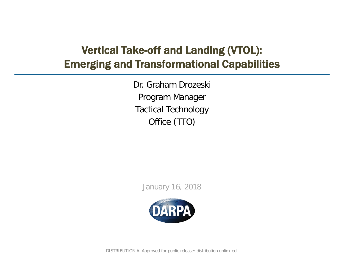## Vertical Take-off and Landing (VTOL): Emerging and Transformational Capabilities

Dr. Graham Drozeski Program Manager Tactical Technology Office (TTO)

January 16, 2018



DISTRIBUTION A. Approved for public release: distribution unlimited.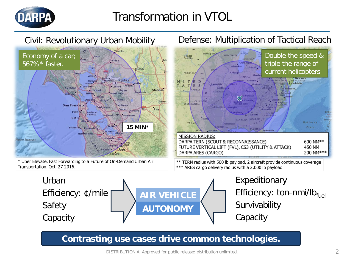

# Transformation in VTOL



#### DISTRIBUTION A. Approved for public release: distribution unlimited. 2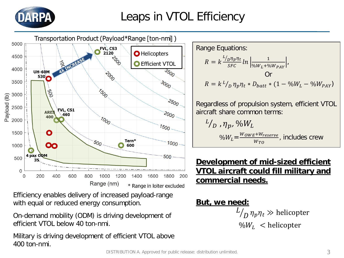



Efficiency enables delivery of increased payload-range with equal or reduced energy consumption.

On-demand mobility (ODM) is driving development of efficient VTOL below 40 ton-nmi.

Military is driving development of efficient VTOL above 400 ton-nmi.

Range Equations:  
\n
$$
R = k \frac{L_{p} \eta_{p} \eta_{t}}{SFC} ln \left| \frac{1}{\gamma_{b} W_{L} + \gamma_{b} W_{PAY}} \right|,
$$
\nOr  
\n
$$
R = k L_{p} \eta_{p} \eta_{t} * D_{batt} * (1 - \gamma_{b} W_{L} - \gamma_{b} W_{PAY})
$$

Regardless of propulsion system, efficient VTOL aircraft share common terms:

$$
L_{D}^L, \eta_p, \%W_L
$$
  
 
$$
\%W_L = \frac{W_{OWE} + W_{reserve}}{W_{TO}},
$$
 includes crew

### **Development of mid-sized efficient VTOL aircraft could fill military and commercial needs.**

**But, we need:**  $^L\!/_{D}\eta_p\eta_t\gg$  helicopter  $\%W_L$  < helicopter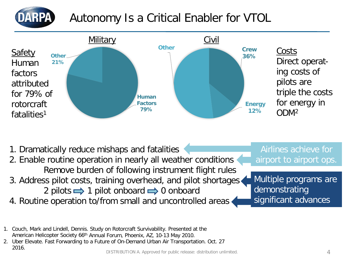

# Autonomy Is a Critical Enabler for VTOL



- 1. Dramatically reduce mishaps and fatalities
- 2. Enable routine operation in nearly all weather conditions Remove burden of following instrument flight rules
- 3. Address pilot costs, training overhead, and pilot shortages
	- 2 pilots  $\implies$  1 pilot onboard  $\implies$  0 onboard
- 4. Routine operation to/from small and uncontrolled areas

Multiple programs are demonstrating significant advances

Airlines achieve for

airport to airport ops.

- 1. Couch, Mark and Lindell, Dennis. Study on Rotorcraft Survivability. Presented at the American Helicopter Society 66th Annual Forum, Phoenix, AZ, 10-13 May 2010.
- 2. Uber Elevate. Fast Forwarding to a Future of On-Demand Urban Air Transportation. Oct. 27 2016.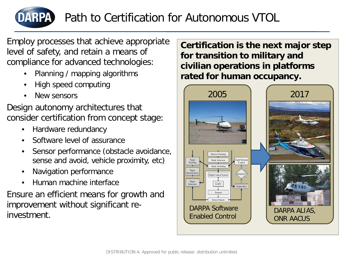

Employ processes that achieve appropriate level of safety, and retain a means of compliance for advanced technologies:

- Planning / mapping algorithms
- High speed computing
- New sensors

Design autonomy architectures that consider certification from concept stage:

- Hardware redundancy
- Software level of assurance
- Sensor performance (obstacle avoidance, sense and avoid, vehicle proximity, etc)
- Navigation performance
- Human machine interface

Ensure an efficient means for growth and improvement without significant reinvestment.

**Certification is the next major step for transition to military and civilian operations in platforms rated for human occupancy.**

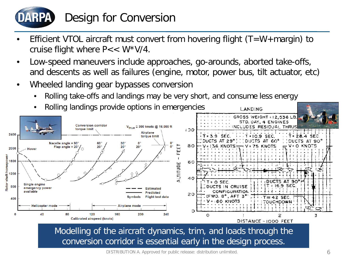

# Design for Conversion

- Efficient VTOL aircraft must convert from hovering flight  $(T=W+margin)$  to cruise flight where  $P << W^*V/4$ .
- Low-speed maneuvers include approaches, go-arounds, aborted take-offs, and descents as well as failures (engine, motor, power bus, tilt actuator, etc)
- Wheeled landing gear bypasses conversion
	- Rolling take-offs and landings may be very short, and consume less energy



conversion corridor is essential early in the design process.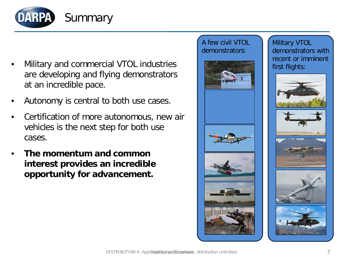

- Military and commercial VTOL industries are developing and flying demonstrators at an incredible pace.
- Autonomy is central to both use cases.
- Certification of more autonomous, new air vehicles is the next step for both use cases.
- **The momentum and common interest provides an incredible opportunity for advancement.**

#### A few civil VTOL demonstrators:



Military VTOL demonstrators with recent or imminent first flights: